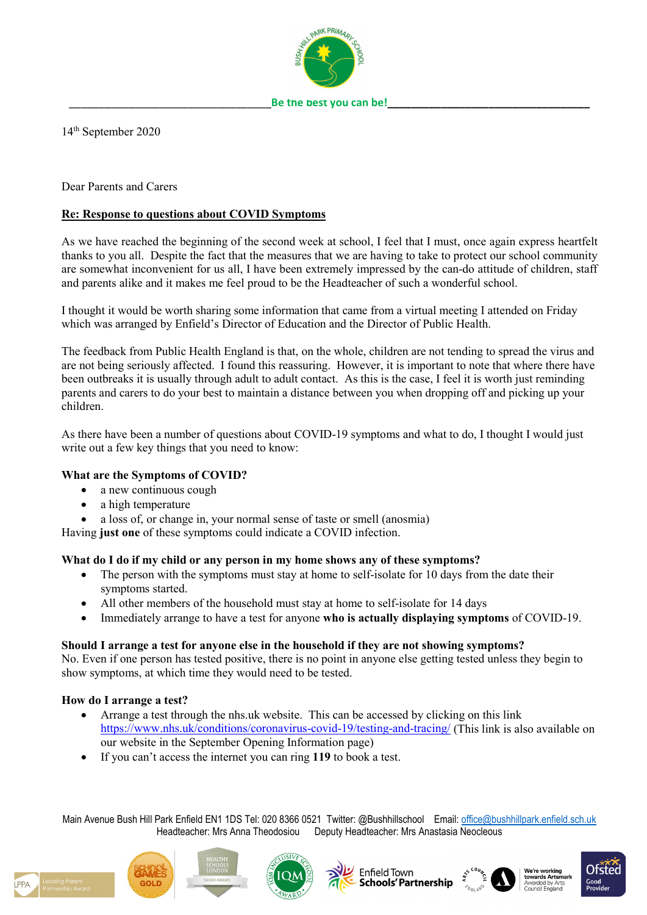

Be the best you can be!

14th September 2020

Dear Parents and Carers

# **Re: Response to questions about COVID Symptoms**

As we have reached the beginning of the second week at school, I feel that I must, once again express heartfelt thanks to you all. Despite the fact that the measures that we are having to take to protect our school community are somewhat inconvenient for us all, I have been extremely impressed by the can-do attitude of children, staff and parents alike and it makes me feel proud to be the Headteacher of such a wonderful school.

I thought it would be worth sharing some information that came from a virtual meeting I attended on Friday which was arranged by Enfield's Director of Education and the Director of Public Health.

The feedback from Public Health England is that, on the whole, children are not tending to spread the virus and are not being seriously affected. I found this reassuring. However, it is important to note that where there have been outbreaks it is usually through adult to adult contact. As this is the case, I feel it is worth just reminding parents and carers to do your best to maintain a distance between you when dropping off and picking up your children.

As there have been a number of questions about COVID-19 symptoms and what to do, I thought I would just write out a few key things that you need to know:

# **What are the Symptoms of COVID?**

- a new continuous cough
- a high temperature
- a loss of, or change in, your normal sense of taste or smell (anosmia)

Having **just one** of these symptoms could indicate a COVID infection.

# **What do I do if my child or any person in my home shows any of these symptoms?**

- The person with the symptoms must stay at home to self-isolate for 10 days from the date their symptoms started.
- All other members of the household must stay at home to self-isolate for 14 days
- Immediately arrange to have a test for anyone **who is actually displaying symptoms** of COVID-19.

## **Should I arrange a test for anyone else in the household if they are not showing symptoms?**

No. Even if one person has tested positive, there is no point in anyone else getting tested unless they begin to show symptoms, at which time they would need to be tested.

## **How do I arrange a test?**

- Arrange a test through the nhs.uk website. This can be accessed by clicking on this link <https://www.nhs.uk/conditions/coronavirus-covid-19/testing-and-tracing/> (This link is also available on our website in the September Opening Information page)
- If you can't access the internet you can ring **119** to book a test.

Main Avenue Bush Hill Park Enfield EN1 1DS Tel: 020 8366 0521 Twitter: @Bushhillschool Email: [office@bushhillpark.enfield.sch.uk](mailto:office@bushhillpark.enfield.sch.uk) Headteacher: Mrs Anna Theodosiou Deputy Headteacher: Mrs Anastasia Neocleous